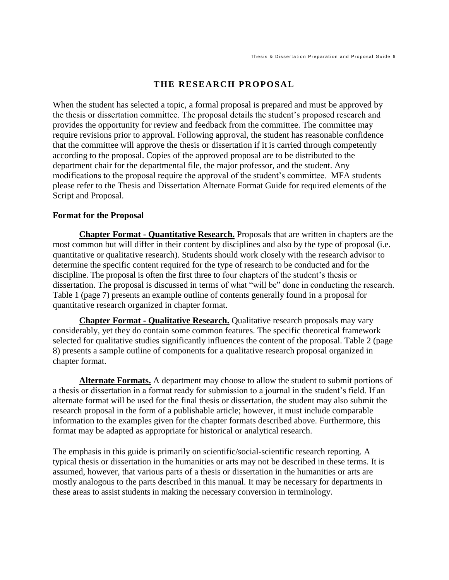## **THE RESEARCH PROPOSAL**

When the student has selected a topic, a formal proposal is prepared and must be approved by the thesis or dissertation committee. The proposal details the student's proposed research and provides the opportunity for review and feedback from the committee. The committee may require revisions prior to approval. Following approval, the student has reasonable confidence that the committee will approve the thesis or dissertation if it is carried through competently according to the proposal. Copies of the approved proposal are to be distributed to the department chair for the departmental file, the major professor, and the student. Any modifications to the proposal require the approval of the student's committee. MFA students please refer to the Thesis and Dissertation Alternate Format Guide for required elements of the Script and Proposal.

## **Format for the Proposal**

**Chapter Format - Quantitative Research.** Proposals that are written in chapters are the most common but will differ in their content by disciplines and also by the type of proposal (i.e. quantitative or qualitative research). Students should work closely with the research advisor to determine the specific content required for the type of research to be conducted and for the discipline. The proposal is often the first three to four chapters of the student's thesis or dissertation. The proposal is discussed in terms of what "will be" done in conducting the research. Table 1 (page 7) presents an example outline of contents generally found in a proposal for quantitative research organized in chapter format.

**Chapter Format - Qualitative Research.** Qualitative research proposals may vary considerably, yet they do contain some common features. The specific theoretical framework selected for qualitative studies significantly influences the content of the proposal. Table 2 (page 8) presents a sample outline of components for a qualitative research proposal organized in chapter format.

**Alternate Formats.** A department may choose to allow the student to submit portions of a thesis or dissertation in a format ready for submission to a journal in the student's field. If an alternate format will be used for the final thesis or dissertation, the student may also submit the research proposal in the form of a publishable article; however, it must include comparable information to the examples given for the chapter formats described above. Furthermore, this format may be adapted as appropriate for historical or analytical research.

The emphasis in this guide is primarily on scientific/social-scientific research reporting. A typical thesis or dissertation in the humanities or arts may not be described in these terms. It is assumed, however, that various parts of a thesis or dissertation in the humanities or arts are mostly analogous to the parts described in this manual. It may be necessary for departments in these areas to assist students in making the necessary conversion in terminology.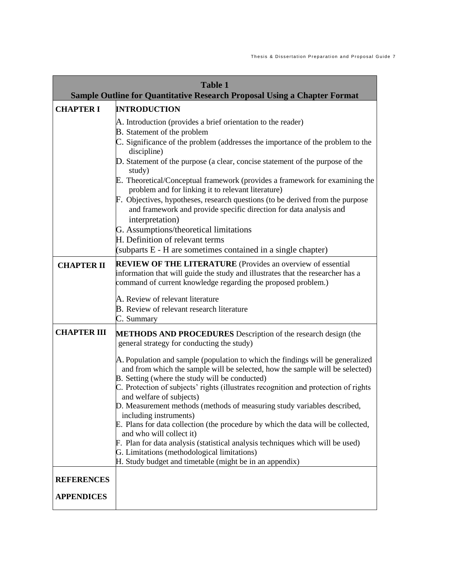| <b>Table 1</b><br><b>Sample Outline for Quantitative Research Proposal Using a Chapter Format</b> |                                                                                                                                                                                                                                                                                                                                                                                                                                                                                                                                                                                                                                                                                                                                                                                                                                                                             |
|---------------------------------------------------------------------------------------------------|-----------------------------------------------------------------------------------------------------------------------------------------------------------------------------------------------------------------------------------------------------------------------------------------------------------------------------------------------------------------------------------------------------------------------------------------------------------------------------------------------------------------------------------------------------------------------------------------------------------------------------------------------------------------------------------------------------------------------------------------------------------------------------------------------------------------------------------------------------------------------------|
|                                                                                                   |                                                                                                                                                                                                                                                                                                                                                                                                                                                                                                                                                                                                                                                                                                                                                                                                                                                                             |
| <b>CHAPTER I</b>                                                                                  | <b>INTRODUCTION</b><br>A. Introduction (provides a brief orientation to the reader)<br><b>B.</b> Statement of the problem<br>C. Significance of the problem (addresses the importance of the problem to the<br>discipline)<br>D. Statement of the purpose (a clear, concise statement of the purpose of the<br>study)<br>E. Theoretical/Conceptual framework (provides a framework for examining the<br>problem and for linking it to relevant literature)<br>F. Objectives, hypotheses, research questions (to be derived from the purpose<br>and framework and provide specific direction for data analysis and<br>interpretation)<br>G. Assumptions/theoretical limitations<br>H. Definition of relevant terms<br>(subparts E - H are sometimes contained in a single chapter)                                                                                           |
| <b>CHAPTER II</b>                                                                                 | <b>REVIEW OF THE LITERATURE</b> (Provides an overview of essential<br>information that will guide the study and illustrates that the researcher has a<br>command of current knowledge regarding the proposed problem.)<br>A. Review of relevant literature<br>B. Review of relevant research literature<br>C. Summary                                                                                                                                                                                                                                                                                                                                                                                                                                                                                                                                                       |
| <b>CHAPTER III</b>                                                                                | <b>METHODS AND PROCEDURES</b> Description of the research design (the<br>general strategy for conducting the study)<br>A. Population and sample (population to which the findings will be generalized<br>and from which the sample will be selected, how the sample will be selected)<br>B. Setting (where the study will be conducted)<br>C. Protection of subjects' rights (illustrates recognition and protection of rights<br>and welfare of subjects)<br>D. Measurement methods (methods of measuring study variables described,<br>including instruments)<br>E. Plans for data collection (the procedure by which the data will be collected,<br>and who will collect it)<br>F. Plan for data analysis (statistical analysis techniques which will be used)<br>G. Limitations (methodological limitations)<br>H. Study budget and timetable (might be in an appendix) |
| <b>REFERENCES</b><br><b>APPENDICES</b>                                                            |                                                                                                                                                                                                                                                                                                                                                                                                                                                                                                                                                                                                                                                                                                                                                                                                                                                                             |